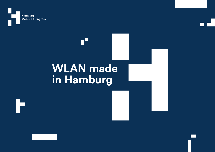

## **WLAN made in Hamburg**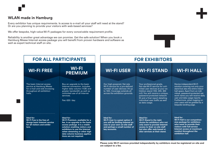## **WLAN made in Hamburg**

Every exhibitor has unique requirements. Is access to e-mail all your staff will need at the stand? Or are you planning to provide your visitors with web-based services?

We offer bespoke, high-value Wi-Fi packages for every conceivable requirement profile.

Reliability is another great advantage we can promise. Get the safe solution! When you book a Hamburg Messe Internet access package you will benefit from proven hardware and software as well as expert technical staff on site.



**Please note: Wi-Fi services provided independently by exhibitors must be registered on site and are subject to a fee.**